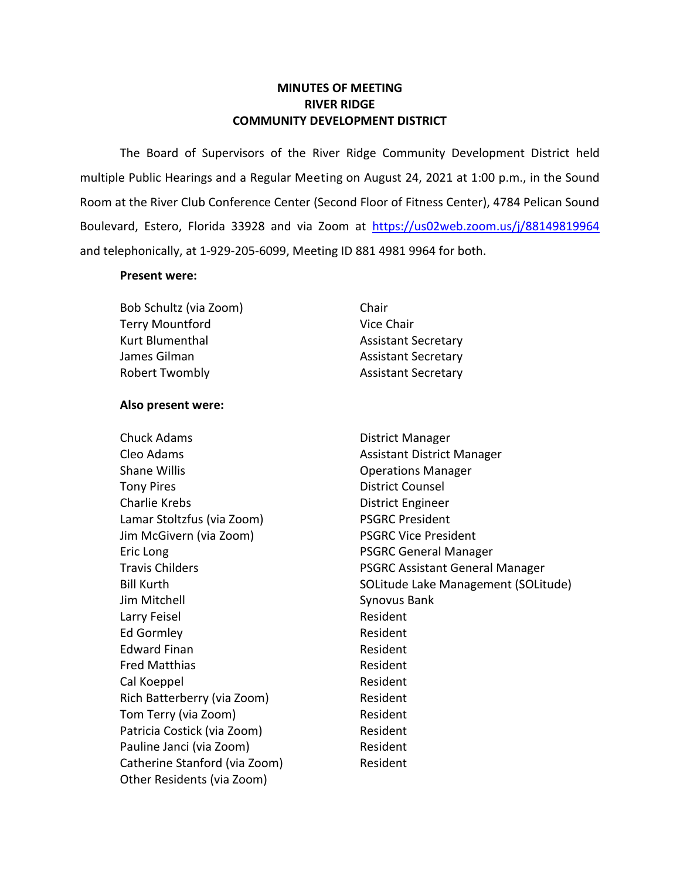# **MINUTES OF MEETING RIVER RIDGE COMMUNITY DEVELOPMENT DISTRICT**

 The Board of Supervisors of the River Ridge Community Development District held multiple Public Hearings and a Regular Meeting on August 24, 2021 at 1:00 p.m., in the Sound Room at the River Club Conference Center (Second Floor of Fitness Center), 4784 Pelican Sound Boulevard, Estero, Florida 33928 and via Zoom at https://us02web.zoom.us/j/88149819964 and telephonically, at 1-929-205-6099, Meeting ID 881 4981 9964 for both.

### **Present were:**

Bob Schultz (via Zoom) Chair Terry Mountford Vice Chair Kurt Blumenthal **Assistant Secretary** James Gilman Assistant Secretary Robert Twombly **Assistant Secretary** 

# **Also present were:**

Eric Long **PSGRC** General Manager Chuck Adams **District Manager** Cleo Adams **Assistant District Manager** Assistant District Manager Shane Willis **Shane Willis Conserversity Operations Manager** Tony Pires **District Counsel** Charlie Krebs **District Engineer** Lamar Stoltzfus (via Zoom) PSGRC President Jim McGivern (via Zoom) PSGRC Vice President Jim Mitchell Synovus Bank Larry Feisel **Resident** Ed Gormley **Resident** Edward Finan **Resident** Resident Fred Matthias **Resident** Cal Koeppel **Resident** Resident Rich Batterberry (via Zoom) Resident Tom Terry (via Zoom) Resident Patricia Costick (via Zoom) Resident Pauline Janci (via Zoom) Resident Catherine Stanford (via Zoom) Resident Other Residents (via Zoom)

Travis Childers **PSGRC Assistant General Manager** Bill Kurth SOLITUDE SOLItude Lake Management (SOLItude)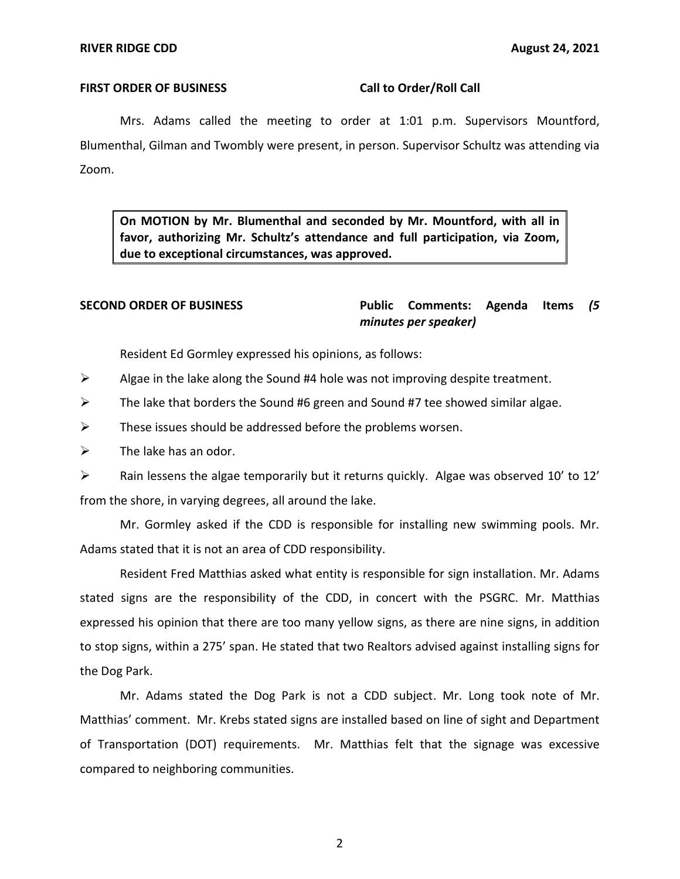### FIRST ORDER OF BUSINESS Call to Order/Roll Call

 Mrs. Adams called the meeting to order at 1:01 p.m. Supervisors Mountford, Blumenthal, Gilman and Twombly were present, in person. Supervisor Schultz was attending via Zoom.

 **On MOTION by Mr. Blumenthal and seconded by Mr. Mountford, with all in favor, authorizing Mr. Schultz's attendance and full participation, via Zoom, due to exceptional circumstances, was approved.** 

 **SECOND ORDER OF BUSINESS Public Comments: Agenda Items** *(5 minutes per speaker)* 

Resident Ed Gormley expressed his opinions, as follows:

- $\triangleright$  Algae in the lake along the Sound #4 hole was not improving despite treatment.
- $\triangleright$  The lake that borders the Sound #6 green and Sound #7 tee showed similar algae.
- $\triangleright$  These issues should be addressed before the problems worsen.
- $\triangleright$  The lake has an odor.

 from the shore, in varying degrees, all around the lake. ➢ Rain lessens the algae temporarily but it returns quickly. Algae was observed 10' to 12'

 Mr. Gormley asked if the CDD is responsible for installing new swimming pools. Mr. Adams stated that it is not an area of CDD responsibility.

 Resident Fred Matthias asked what entity is responsible for sign installation. Mr. Adams stated signs are the responsibility of the CDD, in concert with the PSGRC. Mr. Matthias expressed his opinion that there are too many yellow signs, as there are nine signs, in addition to stop signs, within a 275' span. He stated that two Realtors advised against installing signs for the Dog Park.

 Mr. Adams stated the Dog Park is not a CDD subject. Mr. Long took note of Mr. Matthias' comment. Mr. Krebs stated signs are installed based on line of sight and Department of Transportation (DOT) requirements. Mr. Matthias felt that the signage was excessive compared to neighboring communities.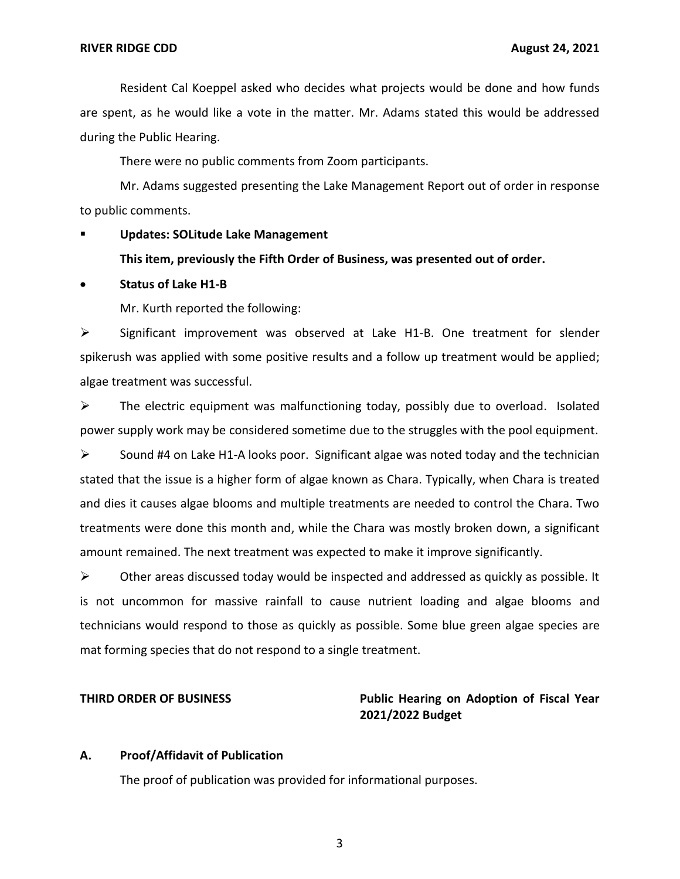are spent, as he would like a vote in the matter. Mr. Adams stated this would be addressed Resident Cal Koeppel asked who decides what projects would be done and how funds during the Public Hearing.

There were no public comments from Zoom participants.

 Mr. Adams suggested presenting the Lake Management Report out of order in response to public comments.

 ▪ **Updates: SOLitude Lake Management** 

# **This item, previously the Fifth Order of Business, was presented out of order.**

# • **Status of Lake H1-B**

Mr. Kurth reported the following:

 ➢ Significant improvement was observed at Lake H1-B. One treatment for slender spikerush was applied with some positive results and a follow up treatment would be applied; algae treatment was successful.

 $\triangleright$  The electric equipment was malfunctioning today, possibly due to overload. Isolated power supply work may be considered sometime due to the struggles with the pool equipment.

 stated that the issue is a higher form of algae known as Chara. Typically, when Chara is treated and dies it causes algae blooms and multiple treatments are needed to control the Chara. Two treatments were done this month and, while the Chara was mostly broken down, a significant amount remained. The next treatment was expected to make it improve significantly.  $\triangleright$  Sound #4 on Lake H1-A looks poor. Significant algae was noted today and the technician

 $\triangleright$  Other areas discussed today would be inspected and addressed as quickly as possible. It is not uncommon for massive rainfall to cause nutrient loading and algae blooms and technicians would respond to those as quickly as possible. Some blue green algae species are mat forming species that do not respond to a single treatment.

# **THIRD ORDER OF BUSINESS THIRD ORDER OF BUSINESS Public Hearing on Adoption of Fiscal Year 2021/2022 Budget**

### **A. Proof/Affidavit of Publication**

The proof of publication was provided for informational purposes.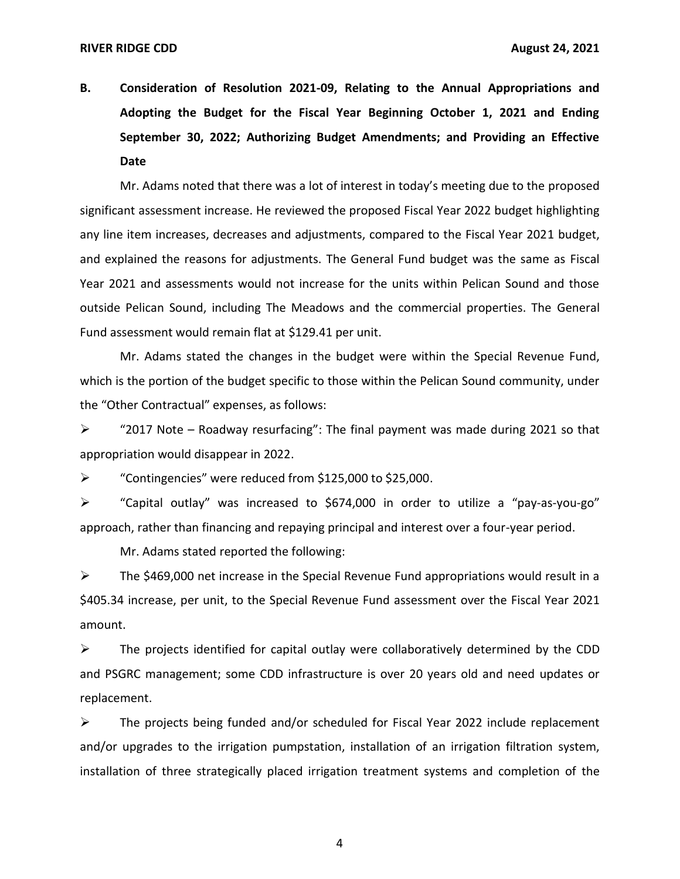**B. Consideration of Resolution 2021-09, Relating to the Annual Appropriations and Adopting the Budget for the Fiscal Year Beginning October 1, 2021 and Ending September 30, 2022; Authorizing Budget Amendments; and Providing an Effective Date** 

 Mr. Adams noted that there was a lot of interest in today's meeting due to the proposed significant assessment increase. He reviewed the proposed Fiscal Year 2022 budget highlighting and explained the reasons for adjustments. The General Fund budget was the same as Fiscal Year 2021 and assessments would not increase for the units within Pelican Sound and those Fund assessment would remain flat at \$129.41 per unit. any line item increases, decreases and adjustments, compared to the Fiscal Year 2021 budget, outside Pelican Sound, including The Meadows and the commercial properties. The General

 Mr. Adams stated the changes in the budget were within the Special Revenue Fund, which is the portion of the budget specific to those within the Pelican Sound community, under the "Other Contractual" expenses, as follows:

 $\triangleright$  "2017 Note – Roadway resurfacing": The final payment was made during 2021 so that appropriation would disappear in 2022.

➢ "Contingencies" were reduced from \$125,000 to \$25,000.

 approach, rather than financing and repaying principal and interest over a four-year period. ➢ "Capital outlay" was increased to \$674,000 in order to utilize a "pay-as-you-go"

Mr. Adams stated reported the following:

 $\triangleright$  The \$469,000 net increase in the Special Revenue Fund appropriations would result in a \$405.34 increase, per unit, to the Special Revenue Fund assessment over the Fiscal Year 2021 amount.

 $\triangleright$  The projects identified for capital outlay were collaboratively determined by the CDD and PSGRC management; some CDD infrastructure is over 20 years old and need updates or replacement.

 ➢ The projects being funded and/or scheduled for Fiscal Year 2022 include replacement and/or upgrades to the irrigation pumpstation, installation of an irrigation filtration system, installation of three strategically placed irrigation treatment systems and completion of the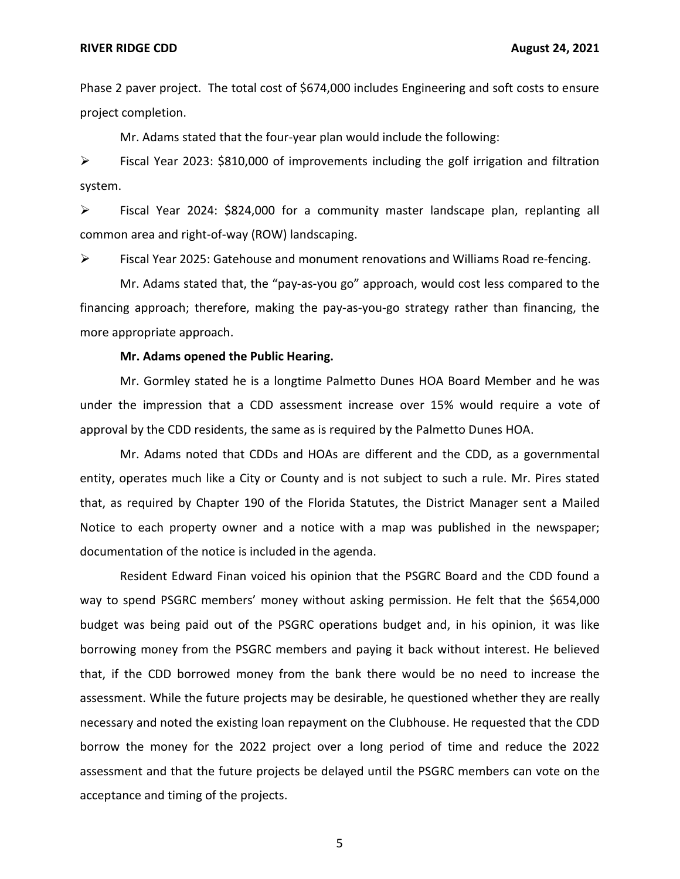Phase 2 paver project. The total cost of \$674,000 includes Engineering and soft costs to ensure project completion.

Mr. Adams stated that the four-year plan would include the following:

 ➢ Fiscal Year 2023: \$810,000 of improvements including the golf irrigation and filtration system.

 common area and right-of-way (ROW) landscaping. ➢ Fiscal Year 2024: \$824,000 for a community master landscape plan, replanting all

➢ Fiscal Year 2025: Gatehouse and monument renovations and Williams Road re-fencing.

 Mr. Adams stated that, the "pay-as-you go" approach, would cost less compared to the financing approach; therefore, making the pay-as-you-go strategy rather than financing, the more appropriate approach.

### **Mr. Adams opened the Public Hearing.**

 Mr. Gormley stated he is a longtime Palmetto Dunes HOA Board Member and he was under the impression that a CDD assessment increase over 15% would require a vote of approval by the CDD residents, the same as is required by the Palmetto Dunes HOA.

 Mr. Adams noted that CDDs and HOAs are different and the CDD, as a governmental entity, operates much like a City or County and is not subject to such a rule. Mr. Pires stated that, as required by Chapter 190 of the Florida Statutes, the District Manager sent a Mailed Notice to each property owner and a notice with a map was published in the newspaper; documentation of the notice is included in the agenda.

 Resident Edward Finan voiced his opinion that the PSGRC Board and the CDD found a way to spend PSGRC members' money without asking permission. He felt that the \$654,000 budget was being paid out of the PSGRC operations budget and, in his opinion, it was like borrowing money from the PSGRC members and paying it back without interest. He believed that, if the CDD borrowed money from the bank there would be no need to increase the assessment. While the future projects may be desirable, he questioned whether they are really necessary and noted the existing loan repayment on the Clubhouse. He requested that the CDD borrow the money for the 2022 project over a long period of time and reduce the 2022 assessment and that the future projects be delayed until the PSGRC members can vote on the acceptance and timing of the projects.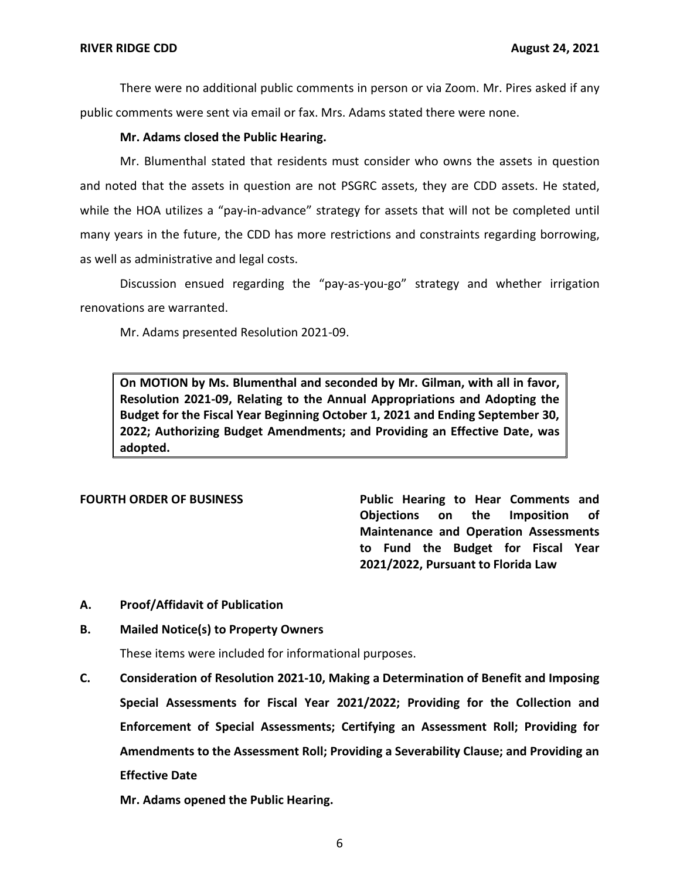There were no additional public comments in person or via Zoom. Mr. Pires asked if any public comments were sent via email or fax. Mrs. Adams stated there were none.

# **Mr. Adams closed the Public Hearing.**

 Mr. Blumenthal stated that residents must consider who owns the assets in question and noted that the assets in question are not PSGRC assets, they are CDD assets. He stated, while the HOA utilizes a "pay-in-advance" strategy for assets that will not be completed until many years in the future, the CDD has more restrictions and constraints regarding borrowing, as well as administrative and legal costs.

 Discussion ensued regarding the "pay-as-you-go" strategy and whether irrigation renovations are warranted.

Mr. Adams presented Resolution 2021-09.

 **On MOTION by Ms. Blumenthal and seconded by Mr. Gilman, with all in favor, Resolution 2021-09, Relating to the Annual Appropriations and Adopting the Budget for the Fiscal Year Beginning October 1, 2021 and Ending September 30, 2022; Authorizing Budget Amendments; and Providing an Effective Date, was adopted.** 

FOURTH ORDER OF BUSINESS **Public Hearing to Hear Comments and Objections on the Imposition of Maintenance and Operation Assessments to Fund the Budget for Fiscal Year 2021/2022, Pursuant to Florida Law** 

### **A. Proof/Affidavit of Publication**

### **B. Mailed Notice(s) to Property Owners**

These items were included for informational purposes.

 **C. Consideration of Resolution 2021-10, Making a Determination of Benefit and Imposing Special Assessments for Fiscal Year 2021/2022; Providing for the Collection and Enforcement of Special Assessments; Certifying an Assessment Roll; Providing for Amendments to the Assessment Roll; Providing a Severability Clause; and Providing an Effective Date** 

 **Mr. Adams opened the Public Hearing.**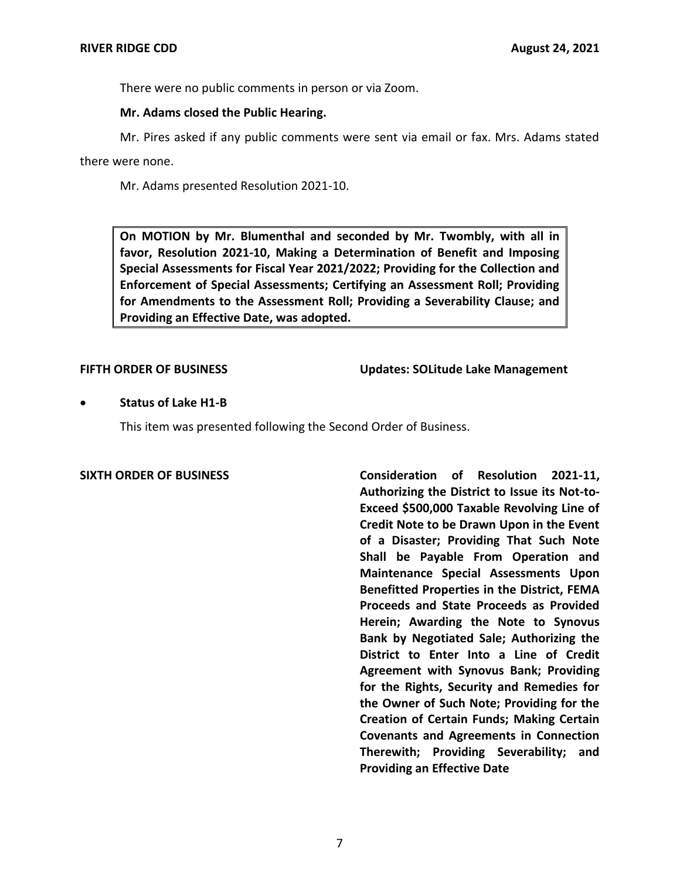There were no public comments in person or via Zoom.

### **Mr. Adams closed the Public Hearing.**

 Mr. Pires asked if any public comments were sent via email or fax. Mrs. Adams stated there were none.

Mr. Adams presented Resolution 2021-10.

 **On MOTION by Mr. Blumenthal and seconded by Mr. Twombly, with all in favor, Resolution 2021-10, Making a Determination of Benefit and Imposing Special Assessments for Fiscal Year 2021/2022; Providing for the Collection and Enforcement of Special Assessments; Certifying an Assessment Roll; Providing for Amendments to the Assessment Roll; Providing a Severability Clause; and Providing an Effective Date, was adopted.** 

**FIFTH ORDER OF BUSINESS** Updates: SOLitude Lake Management

# • **Status of Lake H1-B**

This item was presented following the Second Order of Business.

 **SIXTH ORDER OF BUSINESS Consideration of Resolution 2021-11, Authorizing the District to Issue its Not-to- Exceed \$500,000 Taxable Revolving Line of Credit Note to be Drawn Upon in the Event of a Disaster; Providing That Such Note Shall be Payable From Operation and Maintenance Special Assessments Upon Benefitted Properties in the District, FEMA Herein; Awarding the Note to Synovus Bank by Negotiated Sale; Authorizing the District to Enter Into a Line of Credit Agreement with Synovus Bank; Providing for the Rights, Security and Remedies for the Owner of Such Note; Providing for the Creation of Certain Funds; Making Certain Covenants and Agreements in Connection Therewith; Providing Severability; and Providing an Effective Date Proceeds and State Proceeds as Provided**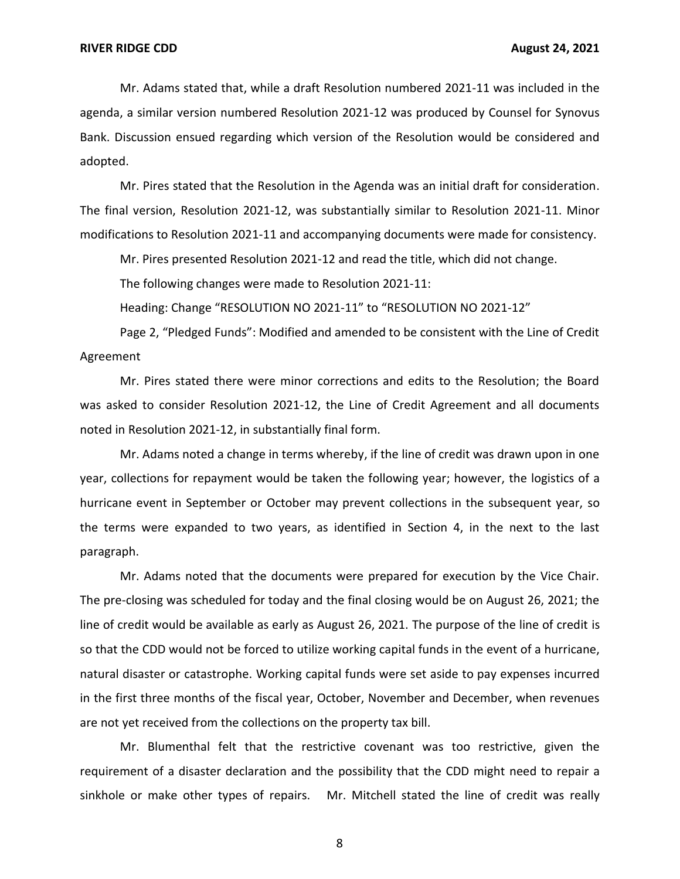Mr. Adams stated that, while a draft Resolution numbered 2021-11 was included in the agenda, a similar version numbered Resolution 2021-12 was produced by Counsel for Synovus Bank. Discussion ensued regarding which version of the Resolution would be considered and adopted.

 Mr. Pires stated that the Resolution in the Agenda was an initial draft for consideration. The final version, Resolution 2021-12, was substantially similar to Resolution 2021-11. Minor modifications to Resolution 2021-11 and accompanying documents were made for consistency.

Mr. Pires presented Resolution 2021-12 and read the title, which did not change.

The following changes were made to Resolution 2021-11:

Heading: Change "RESOLUTION NO 2021-11" to "RESOLUTION NO 2021-12"

 Page 2, "Pledged Funds": Modified and amended to be consistent with the Line of Credit Agreement

 Mr. Pires stated there were minor corrections and edits to the Resolution; the Board was asked to consider Resolution 2021-12, the Line of Credit Agreement and all documents noted in Resolution 2021-12, in substantially final form.

 Mr. Adams noted a change in terms whereby, if the line of credit was drawn upon in one year, collections for repayment would be taken the following year; however, the logistics of a hurricane event in September or October may prevent collections in the subsequent year, so the terms were expanded to two years, as identified in Section 4, in the next to the last paragraph.

 Mr. Adams noted that the documents were prepared for execution by the Vice Chair. The pre-closing was scheduled for today and the final closing would be on August 26, 2021; the line of credit would be available as early as August 26, 2021. The purpose of the line of credit is so that the CDD would not be forced to utilize working capital funds in the event of a hurricane, natural disaster or catastrophe. Working capital funds were set aside to pay expenses incurred in the first three months of the fiscal year, October, November and December, when revenues are not yet received from the collections on the property tax bill.

 Mr. Blumenthal felt that the restrictive covenant was too restrictive, given the requirement of a disaster declaration and the possibility that the CDD might need to repair a sinkhole or make other types of repairs. Mr. Mitchell stated the line of credit was really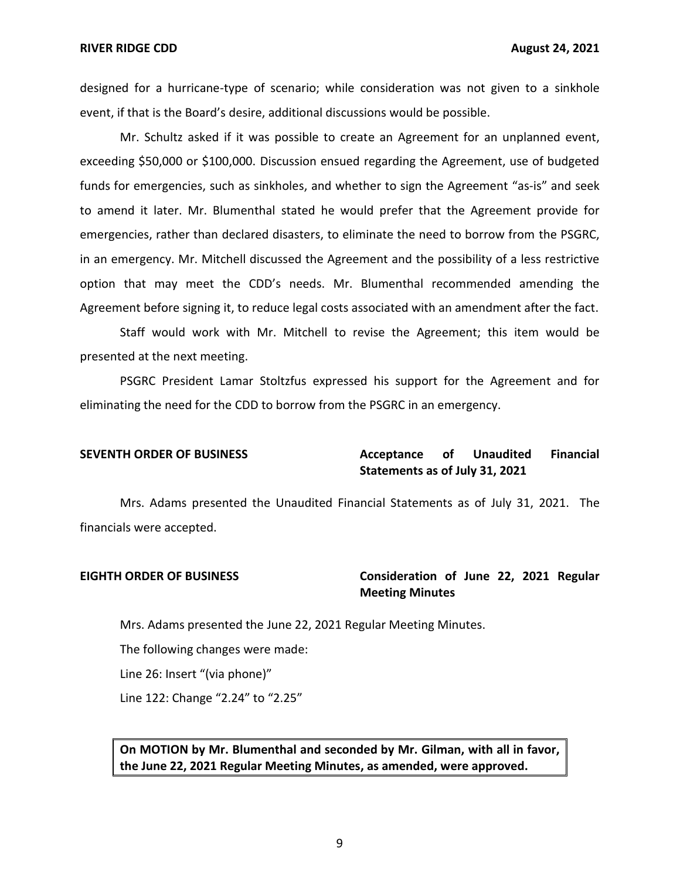designed for a hurricane-type of scenario; while consideration was not given to a sinkhole event, if that is the Board's desire, additional discussions would be possible.

 Mr. Schultz asked if it was possible to create an Agreement for an unplanned event, exceeding \$50,000 or \$100,000. Discussion ensued regarding the Agreement, use of budgeted funds for emergencies, such as sinkholes, and whether to sign the Agreement "as-is" and seek to amend it later. Mr. Blumenthal stated he would prefer that the Agreement provide for emergencies, rather than declared disasters, to eliminate the need to borrow from the PSGRC, in an emergency. Mr. Mitchell discussed the Agreement and the possibility of a less restrictive option that may meet the CDD's needs. Mr. Blumenthal recommended amending the Agreement before signing it, to reduce legal costs associated with an amendment after the fact.

 Staff would work with Mr. Mitchell to revise the Agreement; this item would be presented at the next meeting.

 PSGRC President Lamar Stoltzfus expressed his support for the Agreement and for eliminating the need for the CDD to borrow from the PSGRC in an emergency.

### **Acceptance Statements as of July 31, 2021 SEVENTH ORDER OF BUSINESS Acceptance of Unaudited Financial**

 Mrs. Adams presented the Unaudited Financial Statements as of July 31, 2021. The financials were accepted.

# **EIGHTH ORDER OF BUSINESS Consideration of June 22, 2021 Regular Meeting Minutes**

Mrs. Adams presented the June 22, 2021 Regular Meeting Minutes.

The following changes were made:

Line 26: Insert "(via phone)"

Line 122: Change "2.24" to "2.25"

 **On MOTION by Mr. Blumenthal and seconded by Mr. Gilman, with all in favor, the June 22, 2021 Regular Meeting Minutes, as amended, were approved.**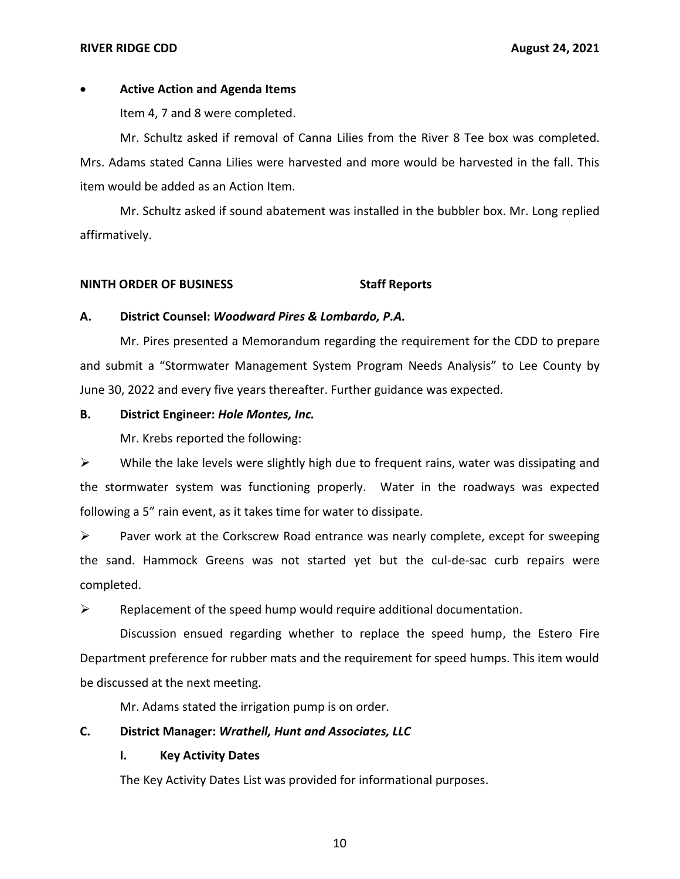### **RIVER RIDGE CDD**

# • **Active Action and Agenda Items**

Item 4, 7 and 8 were completed.

 Mr. Schultz asked if removal of Canna Lilies from the River 8 Tee box was completed. Mrs. Adams stated Canna Lilies were harvested and more would be harvested in the fall. This item would be added as an Action Item.

 Mr. Schultz asked if sound abatement was installed in the bubbler box. Mr. Long replied affirmatively.

## **NINTH ORDER OF BUSINESS** Staff Reports

## **A. District Counsel:** *Woodward Pires & Lombardo, P.A.*

 Mr. Pires presented a Memorandum regarding the requirement for the CDD to prepare and submit a "Stormwater Management System Program Needs Analysis" to Lee County by June 30, 2022 and every five years thereafter. Further guidance was expected.

## **B. District Engineer:** *Hole Montes, Inc.*

Mr. Krebs reported the following:

 $\triangleright$  While the lake levels were slightly high due to frequent rains, water was dissipating and the stormwater system was functioning properly. Water in the roadways was expected following a 5" rain event, as it takes time for water to dissipate.

 ➢ Paver work at the Corkscrew Road entrance was nearly complete, except for sweeping the sand. Hammock Greens was not started yet but the cul-de-sac curb repairs were completed.

 $\triangleright$  Replacement of the speed hump would require additional documentation.

 Discussion ensued regarding whether to replace the speed hump, the Estero Fire Department preference for rubber mats and the requirement for speed humps. This item would be discussed at the next meeting.

Mr. Adams stated the irrigation pump is on order.

# **C. District Manager:** *Wrathell, Hunt and Associates, LLC*

# **I. Key Activity Dates**

The Key Activity Dates List was provided for informational purposes.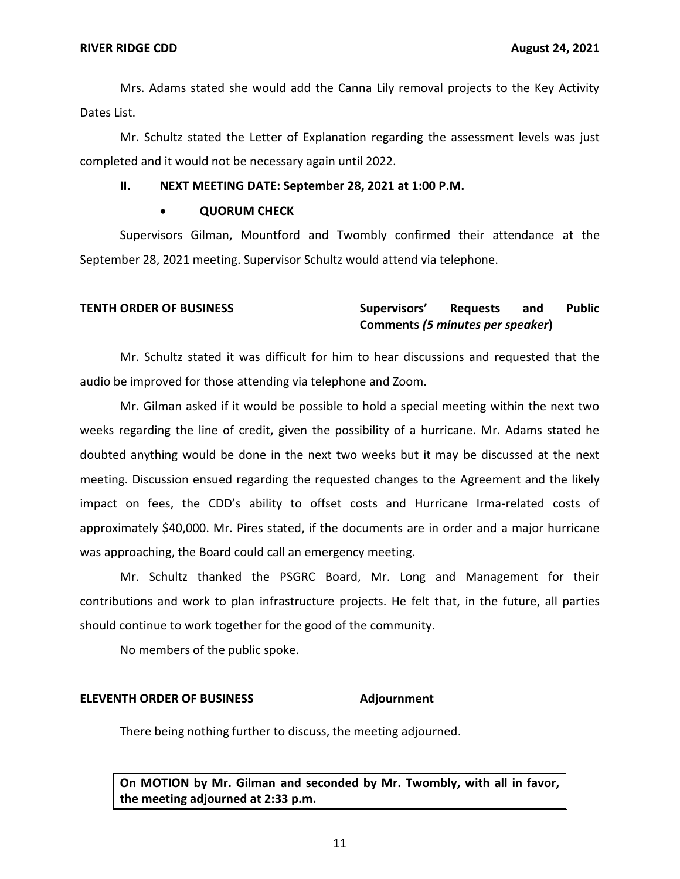Mrs. Adams stated she would add the Canna Lily removal projects to the Key Activity Dates List.

 Mr. Schultz stated the Letter of Explanation regarding the assessment levels was just completed and it would not be necessary again until 2022.

### **II. NEXT MEETING DATE: September 28, 2021 at 1:00 P.M.**

### • **QUORUM CHECK**

 Supervisors Gilman, Mountford and Twombly confirmed their attendance at the September 28, 2021 meeting. Supervisor Schultz would attend via telephone.

### and  **Comments** *(5 minutes per speaker***) TENTH ORDER OF BUSINESS Supervisors' Requests and Public**

 Mr. Schultz stated it was difficult for him to hear discussions and requested that the audio be improved for those attending via telephone and Zoom.

 Mr. Gilman asked if it would be possible to hold a special meeting within the next two weeks regarding the line of credit, given the possibility of a hurricane. Mr. Adams stated he doubted anything would be done in the next two weeks but it may be discussed at the next meeting. Discussion ensued regarding the requested changes to the Agreement and the likely impact on fees, the CDD's ability to offset costs and Hurricane Irma-related costs of approximately \$40,000. Mr. Pires stated, if the documents are in order and a major hurricane was approaching, the Board could call an emergency meeting.

 Mr. Schultz thanked the PSGRC Board, Mr. Long and Management for their contributions and work to plan infrastructure projects. He felt that, in the future, all parties should continue to work together for the good of the community.

No members of the public spoke.

### **ELEVENTH ORDER OF BUSINESS Adjournment**

There being nothing further to discuss, the meeting adjourned.

 **On MOTION by Mr. Gilman and seconded by Mr. Twombly, with all in favor, the meeting adjourned at 2:33 p.m.**